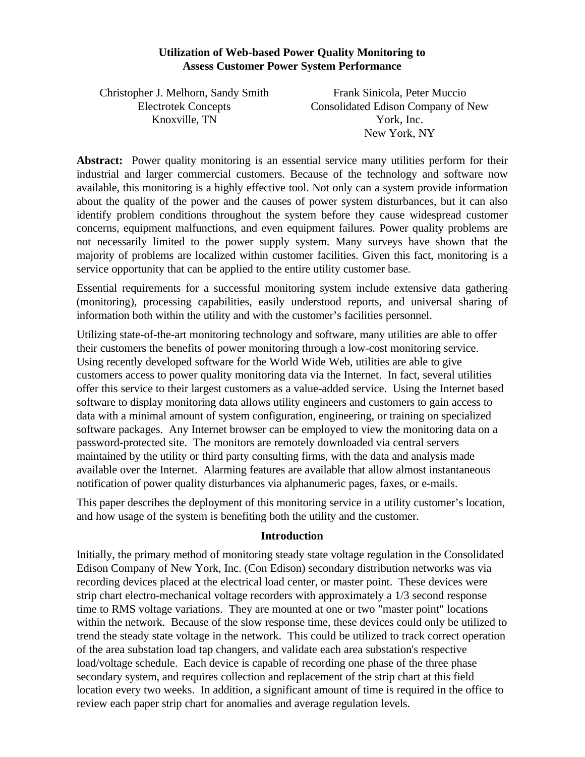#### **Utilization of Web-based Power Quality Monitoring to Assess Customer Power System Performance**

Christopher J. Melhorn, Sandy Smith Electrotek Concepts Knoxville, TN

Frank Sinicola, Peter Muccio Consolidated Edison Company of New York, Inc. New York, NY

**Abstract:** Power quality monitoring is an essential service many utilities perform for their industrial and larger commercial customers. Because of the technology and software now available, this monitoring is a highly effective tool. Not only can a system provide information about the quality of the power and the causes of power system disturbances, but it can also identify problem conditions throughout the system before they cause widespread customer concerns, equipment malfunctions, and even equipment failures. Power quality problems are not necessarily limited to the power supply system. Many surveys have shown that the majority of problems are localized within customer facilities. Given this fact, monitoring is a service opportunity that can be applied to the entire utility customer base.

Essential requirements for a successful monitoring system include extensive data gathering (monitoring), processing capabilities, easily understood reports, and universal sharing of information both within the utility and with the customer's facilities personnel.

Utilizing state-of-the-art monitoring technology and software, many utilities are able to offer their customers the benefits of power monitoring through a low-cost monitoring service. Using recently developed software for the World Wide Web, utilities are able to give customers access to power quality monitoring data via the Internet. In fact, several utilities offer this service to their largest customers as a value-added service. Using the Internet based software to display monitoring data allows utility engineers and customers to gain access to data with a minimal amount of system configuration, engineering, or training on specialized software packages. Any Internet browser can be employed to view the monitoring data on a password-protected site. The monitors are remotely downloaded via central servers maintained by the utility or third party consulting firms, with the data and analysis made available over the Internet. Alarming features are available that allow almost instantaneous notification of power quality disturbances via alphanumeric pages, faxes, or e-mails.

This paper describes the deployment of this monitoring service in a utility customer's location, and how usage of the system is benefiting both the utility and the customer.

# **Introduction**

Initially, the primary method of monitoring steady state voltage regulation in the Consolidated Edison Company of New York, Inc. (Con Edison) secondary distribution networks was via recording devices placed at the electrical load center, or master point. These devices were strip chart electro-mechanical voltage recorders with approximately a 1/3 second response time to RMS voltage variations. They are mounted at one or two "master point" locations within the network. Because of the slow response time, these devices could only be utilized to trend the steady state voltage in the network. This could be utilized to track correct operation of the area substation load tap changers, and validate each area substation's respective load/voltage schedule. Each device is capable of recording one phase of the three phase secondary system, and requires collection and replacement of the strip chart at this field location every two weeks. In addition, a significant amount of time is required in the office to review each paper strip chart for anomalies and average regulation levels.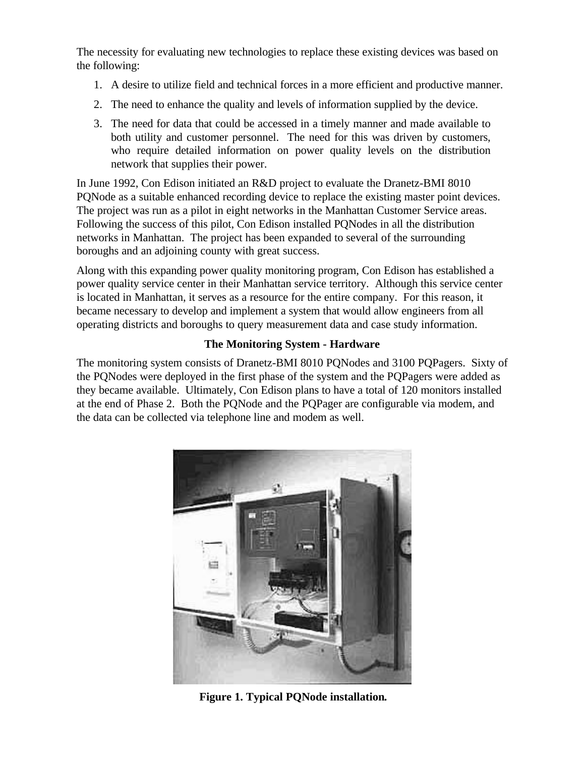The necessity for evaluating new technologies to replace these existing devices was based on the following:

- 1. A desire to utilize field and technical forces in a more efficient and productive manner.
- 2. The need to enhance the quality and levels of information supplied by the device.
- 3. The need for data that could be accessed in a timely manner and made available to both utility and customer personnel. The need for this was driven by customers, who require detailed information on power quality levels on the distribution network that supplies their power.

In June 1992, Con Edison initiated an R&D project to evaluate the Dranetz-BMI 8010 PQNode as a suitable enhanced recording device to replace the existing master point devices. The project was run as a pilot in eight networks in the Manhattan Customer Service areas. Following the success of this pilot, Con Edison installed PQNodes in all the distribution networks in Manhattan. The project has been expanded to several of the surrounding boroughs and an adjoining county with great success.

Along with this expanding power quality monitoring program, Con Edison has established a power quality service center in their Manhattan service territory. Although this service center is located in Manhattan, it serves as a resource for the entire company. For this reason, it became necessary to develop and implement a system that would allow engineers from all operating districts and boroughs to query measurement data and case study information.

# **The Monitoring System - Hardware**

The monitoring system consists of Dranetz-BMI 8010 PQNodes and 3100 PQPagers. Sixty of the PQNodes were deployed in the first phase of the system and the PQPagers were added as they became available. Ultimately, Con Edison plans to have a total of 120 monitors installed at the end of Phase 2. Both the PQNode and the PQPager are configurable via modem, and the data can be collected via telephone line and modem as well.



**Figure 1. Typical PQNode installation***.*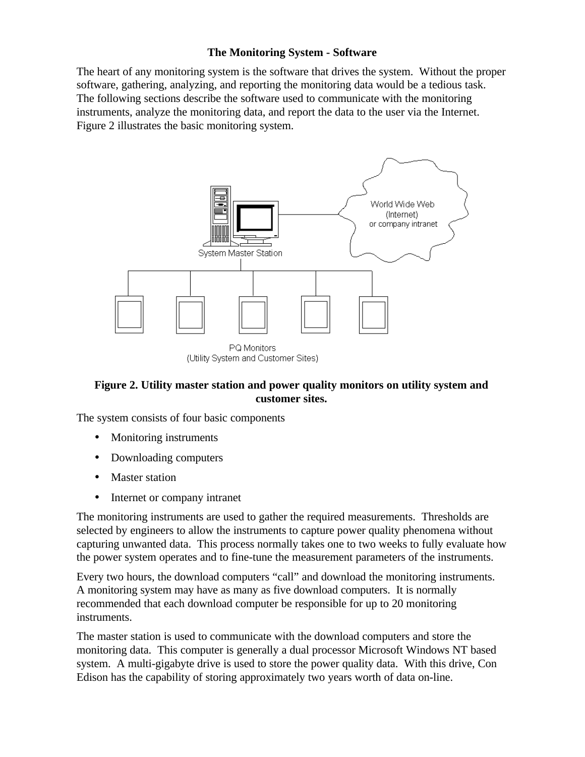# **The Monitoring System - Software**

The heart of any monitoring system is the software that drives the system. Without the proper software, gathering, analyzing, and reporting the monitoring data would be a tedious task. The following sections describe the software used to communicate with the monitoring instruments, analyze the monitoring data, and report the data to the user via the Internet. Figure 2 illustrates the basic monitoring system.



# **Figure 2. Utility master station and power quality monitors on utility system and customer sites.**

The system consists of four basic components

- Monitoring instruments
- Downloading computers
- **Master station**
- Internet or company intranet

The monitoring instruments are used to gather the required measurements. Thresholds are selected by engineers to allow the instruments to capture power quality phenomena without capturing unwanted data. This process normally takes one to two weeks to fully evaluate how the power system operates and to fine-tune the measurement parameters of the instruments.

Every two hours, the download computers "call" and download the monitoring instruments. A monitoring system may have as many as five download computers. It is normally recommended that each download computer be responsible for up to 20 monitoring instruments.

The master station is used to communicate with the download computers and store the monitoring data. This computer is generally a dual processor Microsoft Windows NT based system. A multi-gigabyte drive is used to store the power quality data. With this drive, Con Edison has the capability of storing approximately two years worth of data on-line.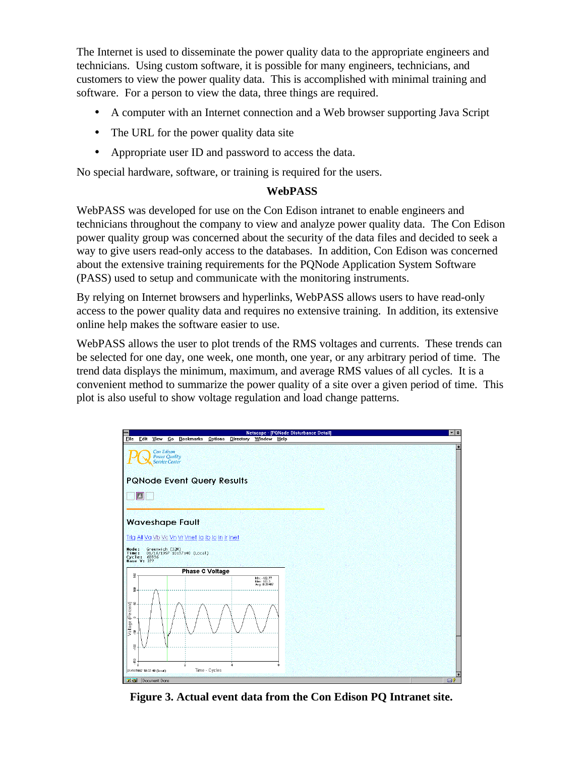The Internet is used to disseminate the power quality data to the appropriate engineers and technicians. Using custom software, it is possible for many engineers, technicians, and customers to view the power quality data. This is accomplished with minimal training and software. For a person to view the data, three things are required.

- A computer with an Internet connection and a Web browser supporting Java Script
- The URL for the power quality data site
- Appropriate user ID and password to access the data.

No special hardware, software, or training is required for the users.

## **WebPASS**

WebPASS was developed for use on the Con Edison intranet to enable engineers and technicians throughout the company to view and analyze power quality data. The Con Edison power quality group was concerned about the security of the data files and decided to seek a way to give users read-only access to the databases. In addition, Con Edison was concerned about the extensive training requirements for the PQNode Application System Software (PASS) used to setup and communicate with the monitoring instruments.

By relying on Internet browsers and hyperlinks, WebPASS allows users to have read-only access to the power quality data and requires no extensive training. In addition, its extensive online help makes the software easier to use.

WebPASS allows the user to plot trends of the RMS voltages and currents. These trends can be selected for one day, one week, one month, one year, or any arbitrary period of time. The trend data displays the minimum, maximum, and average RMS values of all cycles. It is a convenient method to summarize the power quality of a site over a given period of time. This plot is also useful to show voltage regulation and load change patterns.



**Figure 3. Actual event data from the Con Edison PQ Intranet site.**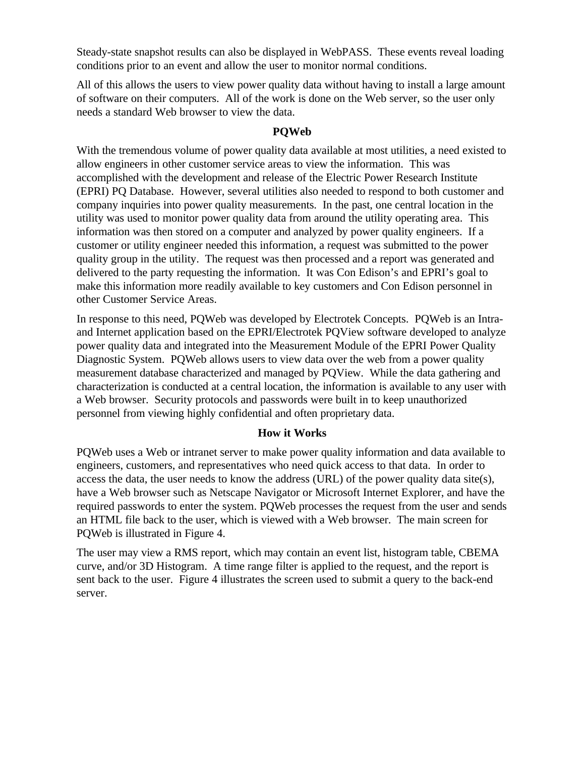Steady-state snapshot results can also be displayed in WebPASS. These events reveal loading conditions prior to an event and allow the user to monitor normal conditions.

All of this allows the users to view power quality data without having to install a large amount of software on their computers. All of the work is done on the Web server, so the user only needs a standard Web browser to view the data.

# **PQWeb**

With the tremendous volume of power quality data available at most utilities, a need existed to allow engineers in other customer service areas to view the information. This was accomplished with the development and release of the Electric Power Research Institute (EPRI) PQ Database. However, several utilities also needed to respond to both customer and company inquiries into power quality measurements. In the past, one central location in the utility was used to monitor power quality data from around the utility operating area. This information was then stored on a computer and analyzed by power quality engineers. If a customer or utility engineer needed this information, a request was submitted to the power quality group in the utility. The request was then processed and a report was generated and delivered to the party requesting the information. It was Con Edison's and EPRI's goal to make this information more readily available to key customers and Con Edison personnel in other Customer Service Areas.

In response to this need, PQWeb was developed by Electrotek Concepts. PQWeb is an Intraand Internet application based on the EPRI/Electrotek PQView software developed to analyze power quality data and integrated into the Measurement Module of the EPRI Power Quality Diagnostic System. PQWeb allows users to view data over the web from a power quality measurement database characterized and managed by PQView. While the data gathering and characterization is conducted at a central location, the information is available to any user with a Web browser. Security protocols and passwords were built in to keep unauthorized personnel from viewing highly confidential and often proprietary data.

### **How it Works**

PQWeb uses a Web or intranet server to make power quality information and data available to engineers, customers, and representatives who need quick access to that data. In order to access the data, the user needs to know the address (URL) of the power quality data site(s), have a Web browser such as Netscape Navigator or Microsoft Internet Explorer, and have the required passwords to enter the system. PQWeb processes the request from the user and sends an HTML file back to the user, which is viewed with a Web browser. The main screen for PQWeb is illustrated in Figure 4.

The user may view a RMS report, which may contain an event list, histogram table, CBEMA curve, and/or 3D Histogram. A time range filter is applied to the request, and the report is sent back to the user. Figure 4 illustrates the screen used to submit a query to the back-end server.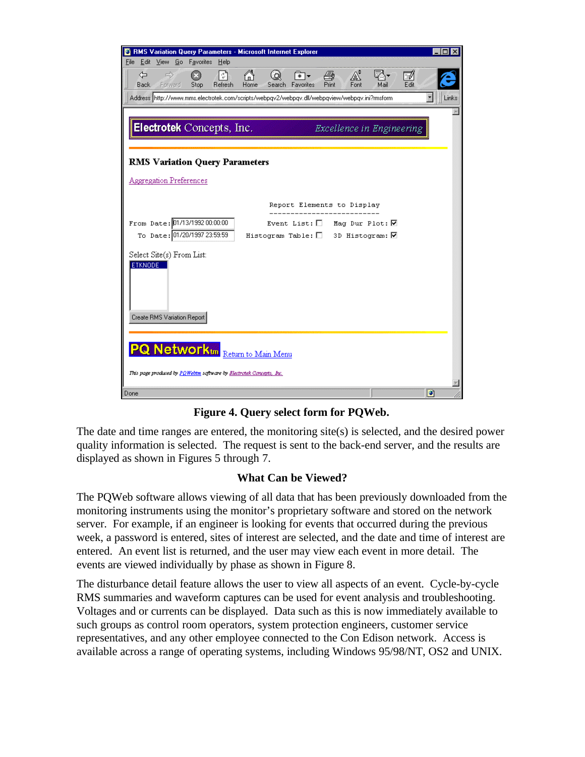| <b>The RMS Variation Query Parameters - Microsoft Internet Explorer</b>                                                                                                             | $\Box$    |
|-------------------------------------------------------------------------------------------------------------------------------------------------------------------------------------|-----------|
| File Edit View Go Favorites Help                                                                                                                                                    |           |
| ⇦<br>AÎ<br>$\Rightarrow$<br>$\bullet$<br>$ \mathbb{C} $<br>⋒<br>a<br>ua-<br>စ<br>☀ ▏<br>Home<br>Print<br>Fonl<br>Back.<br>Forward<br>Stop<br>Refresh<br>Favorites<br>Mail<br>Search | M<br>Edit |
| Address http://www.mms.electrotek.com/scripts/webpqv2/webpqv.dll/webpqview/webpqv.ini?rmsform                                                                                       | Links     |
|                                                                                                                                                                                     |           |
| Electrotek Concepts, Inc.<br>Excellence in Engineering                                                                                                                              |           |
|                                                                                                                                                                                     |           |
| <b>RMS Variation Query Parameters</b>                                                                                                                                               |           |
| <b>Aggregation Preferences</b>                                                                                                                                                      |           |
| Report Elements to Display                                                                                                                                                          |           |
| From Date: 01/13/1992 00:00:00<br>Event List: $\Box$ Mag Dur Plot: $\Box$                                                                                                           |           |
| To Date: 01/20/1997 23:59:59<br>Histogram Table: $\Box$ 3D Histogram: $\nabla$                                                                                                      |           |
|                                                                                                                                                                                     |           |
| Select Site(s) From List:<br><b>ETKNODE</b>                                                                                                                                         |           |
|                                                                                                                                                                                     |           |
|                                                                                                                                                                                     |           |
|                                                                                                                                                                                     |           |
| Create RMS Variation Report                                                                                                                                                         |           |
|                                                                                                                                                                                     |           |
| <b>PQ Networktin</b> Return to Main Menu                                                                                                                                            |           |
| This page produced by <mark>PQWebtm</mark> saftware by <u>Blectrotek Concepts, Inc.</u>                                                                                             |           |
| Done                                                                                                                                                                                | o         |

**Figure 4. Query select form for PQWeb.**

The date and time ranges are entered, the monitoring site(s) is selected, and the desired power quality information is selected. The request is sent to the back-end server, and the results are displayed as shown in Figures 5 through 7.

# **What Can be Viewed?**

The PQWeb software allows viewing of all data that has been previously downloaded from the monitoring instruments using the monitor's proprietary software and stored on the network server. For example, if an engineer is looking for events that occurred during the previous week, a password is entered, sites of interest are selected, and the date and time of interest are entered. An event list is returned, and the user may view each event in more detail. The events are viewed individually by phase as shown in Figure 8.

The disturbance detail feature allows the user to view all aspects of an event. Cycle-by-cycle RMS summaries and waveform captures can be used for event analysis and troubleshooting. Voltages and or currents can be displayed. Data such as this is now immediately available to such groups as control room operators, system protection engineers, customer service representatives, and any other employee connected to the Con Edison network. Access is available across a range of operating systems, including Windows 95/98/NT, OS2 and UNIX.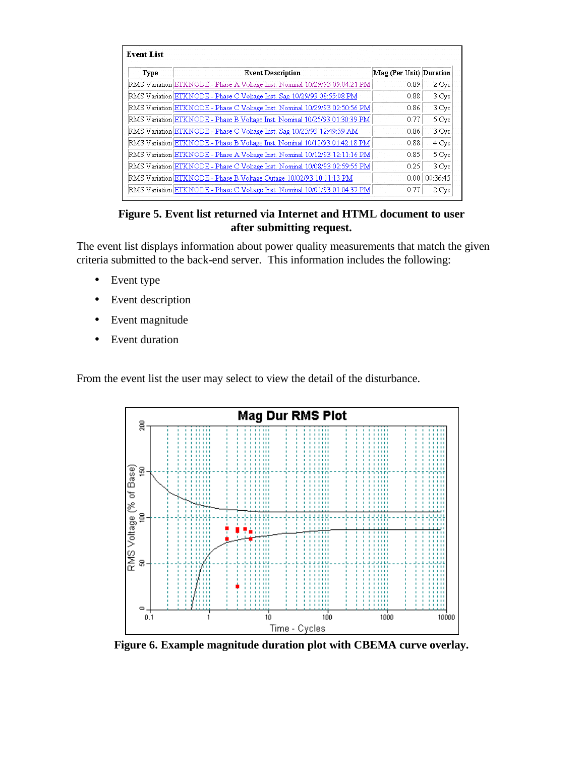| Type | <b>Event Description</b>                                                   | Mag (Per Unit) Duration |          |
|------|----------------------------------------------------------------------------|-------------------------|----------|
|      | RMS Variation ETKNODE - Phase A Voltage Inst. Nominal 10/29/93 09:04:21 PM | 0.89                    | 2 Cyc    |
|      | RMS Variation ETKNODE - Phase C Voltage Inst. Sag 10/29/93 08:55:08 PM     | 0.88                    | 3 Cyc    |
|      | RMS Variation ETKNODE - Phase C Voltage Inst. Nominal 10/29/93 02:50:56 PM | 0.86                    | 3 Cyc    |
|      | RMS Variation ETKNODE - Phase B Voltage Inst. Nominal 10/25/93 01:30:39 PM | 0.77                    | 5 Cyc    |
|      | RMS Variation ETKNODE - Phase C Voltage Inst. Sag 10/25/93 12:49:59 AM     | 0.86                    | 3 Cyc    |
|      | RMS Variation ETKNODE - Phase B Voltage Inst. Nominal 10/12/93 01:42:18 PM | 0.88                    | 4 Cyc    |
|      | RMS Variation ETKNODE - Phase A Voltage Inst. Nominal 10/12/93 12:11:16 PM | 0.85                    | 5 Cyc    |
|      | RMS Variation ETKNODE - Phase C Voltage Inst. Nominal 10/08/93 02:59:55 PM | 0.25                    | 3 Cyc    |
|      | RMS Variation ETKNODE - Phase B Voltage Outage 10/02/93 10:11:13 PM        | 0.00                    | 00:36:45 |
|      | RMS Variation ETKNODE - Phase C Voltage Inst. Nominal 10/01/93 01:04:37 PM | 0.77                    | 2 Cyc    |

**Figure 5. Event list returned via Internet and HTML document to user after submitting request.**

The event list displays information about power quality measurements that match the given criteria submitted to the back-end server. This information includes the following:

- Event type
- Event description
- Event magnitude
- Event duration

From the event list the user may select to view the detail of the disturbance.



**Figure 6. Example magnitude duration plot with CBEMA curve overlay.**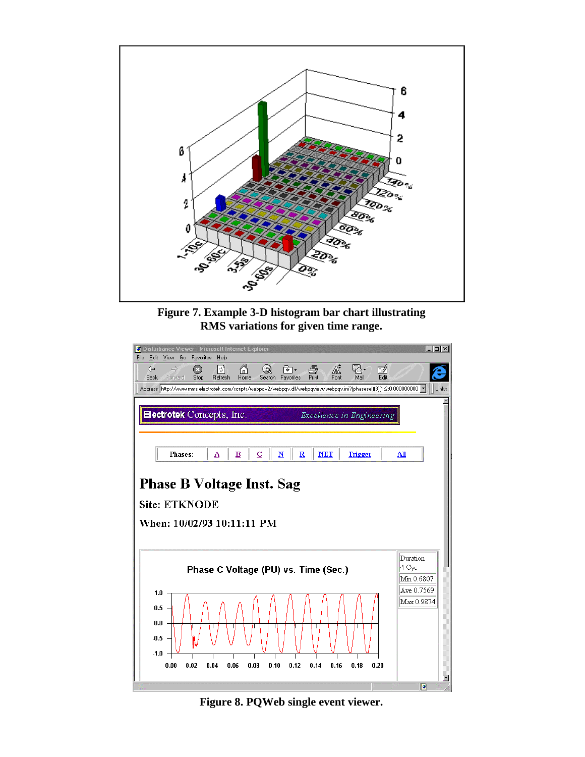

**Figure 7. Example 3-D histogram bar chart illustrating RMS variations for given time range.**



**Figure 8. PQWeb single event viewer.**